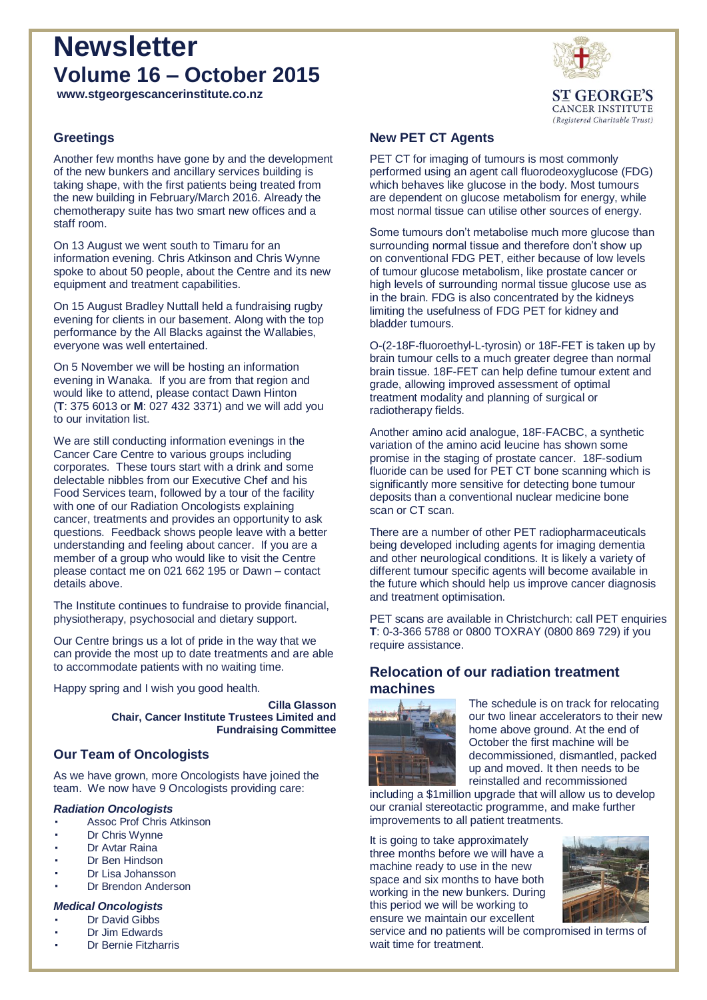# **Newsletter Volume 16 – October 2015**



**CANCER INSTITUTE** (Registered Charitable Trust)

**www.stgeorgescancerinstitute.co.nz**

## **Greetings**

Another few months have gone by and the development of the new bunkers and ancillary services building is taking shape, with the first patients being treated from the new building in February/March 2016. Already the chemotherapy suite has two smart new offices and a staff room.

On 13 August we went south to Timaru for an information evening. Chris Atkinson and Chris Wynne spoke to about 50 people, about the Centre and its new equipment and treatment capabilities.

On 15 August Bradley Nuttall held a fundraising rugby evening for clients in our basement. Along with the top performance by the All Blacks against the Wallabies, everyone was well entertained.

On 5 November we will be hosting an information evening in Wanaka. If you are from that region and would like to attend, please contact Dawn Hinton (**T**: 375 6013 or **M**: 027 432 3371) and we will add you to our invitation list.

We are still conducting information evenings in the Cancer Care Centre to various groups including corporates. These tours start with a drink and some delectable nibbles from our Executive Chef and his Food Services team, followed by a tour of the facility with one of our Radiation Oncologists explaining cancer, treatments and provides an opportunity to ask questions. Feedback shows people leave with a better understanding and feeling about cancer. If you are a member of a group who would like to visit the Centre please contact me on 021 662 195 or Dawn – contact details above.

The Institute continues to fundraise to provide financial, physiotherapy, psychosocial and dietary support.

Our Centre brings us a lot of pride in the way that we can provide the most up to date treatments and are able to accommodate patients with no waiting time.

Happy spring and I wish you good health.

**Cilla Glasson Chair, Cancer Institute Trustees Limited and Fundraising Committee**

## **Our Team of Oncologists**

As we have grown, more Oncologists have joined the team. We now have 9 Oncologists providing care:

#### *Radiation Oncologists*

- Assoc Prof Chris Atkinson
- Dr Chris Wynne
- Dr Avtar Raina
- Dr Ben Hindson
- Dr Lisa Johansson
- Dr Brendon Anderson

#### *Medical Oncologists*

- Dr David Gibbs
- Dr Jim Edwards
- Dr Bernie Fitzharris

#### **New PET CT Agents**

PET CT for imaging of tumours is most commonly performed using an agent call fluorodeoxyglucose (FDG) which behaves like glucose in the body. Most tumours are dependent on glucose metabolism for energy, while most normal tissue can utilise other sources of energy.

Some tumours don't metabolise much more glucose than surrounding normal tissue and therefore don't show up on conventional FDG PET, either because of low levels of tumour glucose metabolism, like prostate cancer or high levels of surrounding normal tissue glucose use as in the brain. FDG is also concentrated by the kidneys limiting the usefulness of FDG PET for kidney and bladder tumours.

O-(2-18F-fluoroethyl-L-tyrosin) or 18F-FET is taken up by brain tumour cells to a much greater degree than normal brain tissue. 18F-FET can help define tumour extent and grade, allowing improved assessment of optimal treatment modality and planning of surgical or radiotherapy fields.

Another amino acid analogue, 18F-FACBC, a synthetic variation of the amino acid leucine has shown some promise in the staging of prostate cancer. 18F-sodium fluoride can be used for PET CT bone scanning which is significantly more sensitive for detecting bone tumour deposits than a conventional nuclear medicine bone scan or CT scan.

There are a number of other PET radiopharmaceuticals being developed including agents for imaging dementia and other neurological conditions. It is likely a variety of different tumour specific agents will become available in the future which should help us improve cancer diagnosis and treatment optimisation.

PET scans are available in Christchurch: call PET enquiries **T**: 0-3-366 5788 or 0800 TOXRAY (0800 869 729) if you require assistance.

## **Relocation of our radiation treatment machines**



The schedule is on track for relocating our two linear accelerators to their new home above ground. At the end of October the first machine will be decommissioned, dismantled, packed up and moved. It then needs to be reinstalled and recommissioned

including a \$1million upgrade that will allow us to develop our cranial stereotactic programme, and make further improvements to all patient treatments.

It is going to take approximately three months before we will have a machine ready to use in the new space and six months to have both working in the new bunkers. During this period we will be working to ensure we maintain our excellent



service and no patients will be compromised in terms of wait time for treatment.